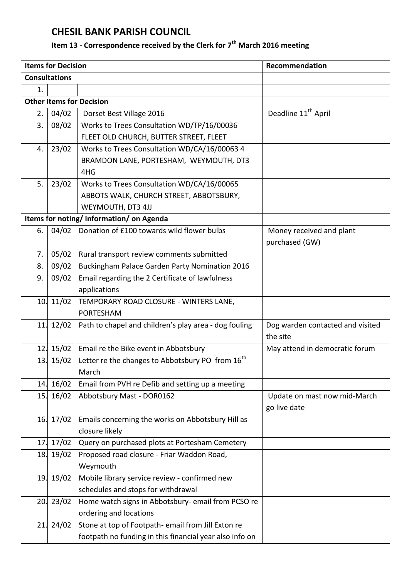## **CHESIL BANK PARISH COUNCIL**

## **Item 13 - Correspondence received by the Clerk for 7 th March 2016 meeting**

| <b>Consultations</b>                                                                                      |  |  |  |  |
|-----------------------------------------------------------------------------------------------------------|--|--|--|--|
| 1.                                                                                                        |  |  |  |  |
| <b>Other Items for Decision</b>                                                                           |  |  |  |  |
| Deadline 11 <sup>th</sup> April<br>04/02<br>Dorset Best Village 2016<br>2.                                |  |  |  |  |
| 3.<br>08/02<br>Works to Trees Consultation WD/TP/16/00036                                                 |  |  |  |  |
| FLEET OLD CHURCH, BUTTER STREET, FLEET                                                                    |  |  |  |  |
| 23/02<br>Works to Trees Consultation WD/CA/16/00063 4<br>4.                                               |  |  |  |  |
| BRAMDON LANE, PORTESHAM, WEYMOUTH, DT3                                                                    |  |  |  |  |
| 4HG                                                                                                       |  |  |  |  |
| 5.<br>23/02<br>Works to Trees Consultation WD/CA/16/00065                                                 |  |  |  |  |
| ABBOTS WALK, CHURCH STREET, ABBOTSBURY,                                                                   |  |  |  |  |
| WEYMOUTH, DT3 4JJ                                                                                         |  |  |  |  |
| Items for noting/information/on Agenda                                                                    |  |  |  |  |
| Donation of £100 towards wild flower bulbs<br>04/02<br>Money received and plant<br>6.                     |  |  |  |  |
| purchased (GW)                                                                                            |  |  |  |  |
| 05/02<br>7.<br>Rural transport review comments submitted                                                  |  |  |  |  |
| 8.<br>09/02<br>Buckingham Palace Garden Party Nomination 2016                                             |  |  |  |  |
| 09/02<br>Email regarding the 2 Certificate of lawfulness<br>9.                                            |  |  |  |  |
| applications                                                                                              |  |  |  |  |
| 11/02<br>10.<br>TEMPORARY ROAD CLOSURE - WINTERS LANE,                                                    |  |  |  |  |
| <b>PORTESHAM</b>                                                                                          |  |  |  |  |
| 12/02<br>Path to chapel and children's play area - dog fouling<br>11.<br>Dog warden contacted and visited |  |  |  |  |
| the site                                                                                                  |  |  |  |  |
| 15/02<br>Email re the Bike event in Abbotsbury<br>May attend in democratic forum<br>12.                   |  |  |  |  |
| Letter re the changes to Abbotsbury PO from 16 <sup>th</sup><br>15/02<br>13.                              |  |  |  |  |
| March                                                                                                     |  |  |  |  |
| 16/02<br>14.<br>Email from PVH re Defib and setting up a meeting                                          |  |  |  |  |
| 16/02<br>Abbotsbury Mast - DOR0162<br>15.<br>Update on mast now mid-March                                 |  |  |  |  |
| go live date                                                                                              |  |  |  |  |
| 17/02<br>Emails concerning the works on Abbotsbury Hill as<br>16.                                         |  |  |  |  |
| closure likely                                                                                            |  |  |  |  |
| 17/02<br>Query on purchased plots at Portesham Cemetery<br>17.                                            |  |  |  |  |
| 19/02<br>Proposed road closure - Friar Waddon Road,<br>18.<br>Weymouth                                    |  |  |  |  |
| 19/02<br>Mobile library service review - confirmed new<br>19.                                             |  |  |  |  |
| schedules and stops for withdrawal                                                                        |  |  |  |  |
| 20.23/02<br>Home watch signs in Abbotsbury-email from PCSO re                                             |  |  |  |  |
| ordering and locations                                                                                    |  |  |  |  |
| 24/02<br>Stone at top of Footpath- email from Jill Exton re<br>21.                                        |  |  |  |  |
| footpath no funding in this financial year also info on                                                   |  |  |  |  |